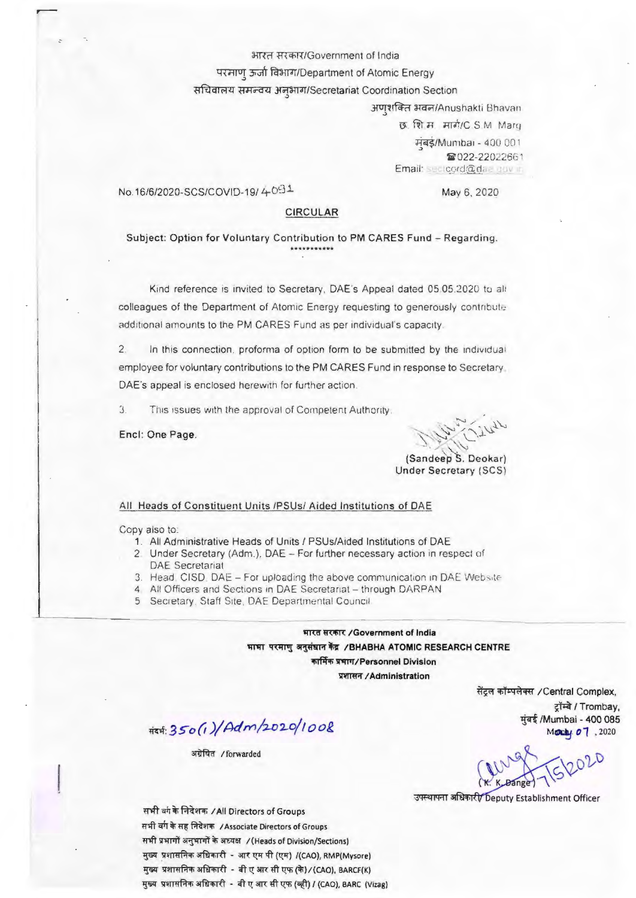भारत सरकार/Government of India

परमाणु ऊर्जा विभाग/Department of Atomic Energy

सचिवालय समन्वय अनभाग/Secretariat Coordination Section

अणुशक्ति भवन/Anushakti Bhavan छ शि.स. मार्ग/C.S.M. Marg मंबई/Mumbai - 400 001 **■022-22022661** Email: sectoord@dae.gov.in

No.16/6/2020-SCS/COVID-19/4-091

May 6, 2020

## **CIRCULAR**

# Subject: Option for Voluntary Contribution to PM CARES Fund - Regarding.

Kind reference is invited to Secretary, DAE's Appeal dated 05.05.2020 to all colleagues of the Department of Atomic Energy requesting to generously contribute additional amounts to the PM CARES Fund as per individual's capacity.

 $\overline{2}$ . In this connection, proforma of option form to be submitted by the individual employee for voluntary contributions to the PM CARES Fund in response to Secretary. DAE's appeal is enclosed herewith for further action.

3. This issues with the approval of Competent Authority.

Encl: One Page.

(Sandeep S. Deokar) **Under Secretary (SCS)** 

#### All Heads of Constituent Units /PSUs/ Aided Institutions of DAE

Copy also to:

- 1. All Administrative Heads of Units / PSUs/Aided Institutions of DAE
- 2. Under Secretary (Adm.), DAE For further necessary action in respect of **DAE** Secretariat
- 3. Head, CISD, DAE For uploading the above communication in DAE Website
- 4 All Officers and Sections in DAE Secretariat through DARPAN
- 5 Secretary, Staff Site, DAE Departmental Council.

भारत सरकार /Government of India भाभा परमाणु अनुसंधान केंद्र / BHABHA ATOMIC RESEARCH CENTRE कार्मिक प्रभाग/Personnel Division

प्रशासन / Administration

#24:350(1)/Adm/2020/1008

अग्रेषित /forwarded

सेंट्रल कॉम्पलेक्स /Central Complex,

ट्रॉम्बे / Trombay, मुंबई /Mumbai - 400 085

Mody 07, 2020

उपस्थापना अधिकारी/ Deputy Establishment Officer

सभी बंग के निदेशक /All Directors of Groups सभी बगे के सह निदेशक / Associate Directors of Groups सभी प्रभागों अनुभागों के अध्यक्ष / (Heads of Division/Sections) मुख्य प्रशासनिक अधिकारी - आर एम पी (एम) /(CAO), RMP(Mysore) मुख्य प्रशासनिक अधिकारी - बी ए आर सी एफ (के)/(CAO), BARCF(K) मुख्य प्रशासनिक अधिकारी - बी ए आर सी एफ (व्ही) / (CAO), BARC (Vizag)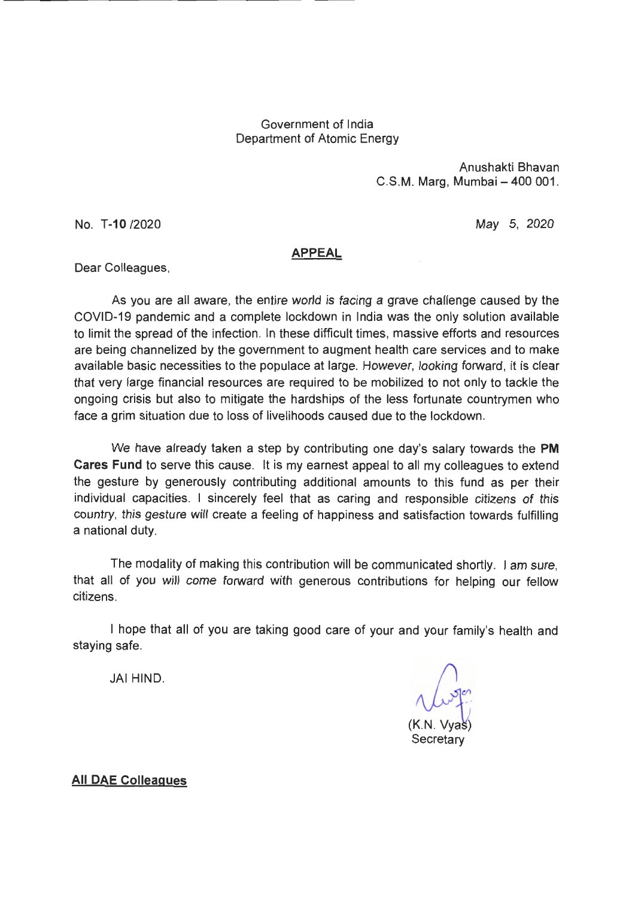# Government of India Department of Atomic Energy

Anushakti Bhavan C.S.M. Marg. Mumbai - 400 001.

No. T-10 /2020

May 5, 2020

## **APPEAL**

Dear Colleagues,

As you are all aware, the entire world is facing a grave challenge caused by the COVID-19 pandemic and a complete lockdown in India was the only solution available to limit the spread of the infection. In these difficult times, massive efforts and resources are being channelized by the government to augment health care services and to make available basic necessities to the populace at large. However, looking forward, it is clear that very large financial resources are required to be mobilized to not only to tackle the ongoing crisis but also to mitigate the hardships of the less fortunate countrymen who face a grim situation due to loss of livelihoods caused due to the lockdown.

We have already taken a step by contributing one day's salary towards the PM Cares Fund to serve this cause. It is my earnest appeal to all my colleagues to extend the gesture by generously contributing additional amounts to this fund as per their individual capacities. I sincerely feel that as caring and responsible citizens of this country, this gesture will create a feeling of happiness and satisfaction towards fulfilling a national duty.

The modality of making this contribution will be communicated shortly. I am sure, that all of you will come forward with generous contributions for helping our fellow citizens.

I hope that all of you are taking good care of your and your family's health and staying safe.

JAI HIND.

Secretary

**All DAE Colleagues**